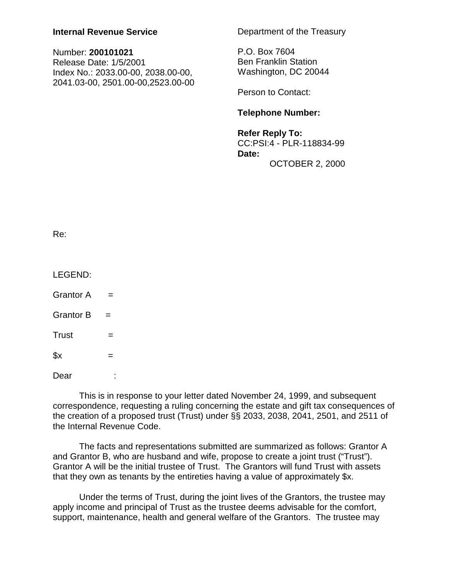## **Internal Revenue Service**

| Number: 200101021                  |
|------------------------------------|
| Release Date: 1/5/2001             |
| Index No.: 2033.00-00, 2038.00-00, |
| 2041.03-00, 2501.00-00,2523.00-00  |

Department of the Treasury

P.O. Box 7604 Ben Franklin Station Washington, DC 20044

Person to Contact:

## **Telephone Number:**

**Refer Reply To:** CC:PSI:4 - PLR-118834-99 **Date:**  OCTOBER 2, 2000

| ۰.<br>×<br>۰. |  |
|---------------|--|

LEGEND:

Grantor  $A =$ 

Grantor  $B =$ 

 $Trust =$ 

 $x =$ 

Dear :

This is in response to your letter dated November 24, 1999, and subsequent correspondence, requesting a ruling concerning the estate and gift tax consequences of the creation of a proposed trust (Trust) under §§ 2033, 2038, 2041, 2501, and 2511 of the Internal Revenue Code.

The facts and representations submitted are summarized as follows: Grantor A and Grantor B, who are husband and wife, propose to create a joint trust ("Trust"). Grantor A will be the initial trustee of Trust. The Grantors will fund Trust with assets that they own as tenants by the entireties having a value of approximately \$x.

Under the terms of Trust, during the joint lives of the Grantors, the trustee may apply income and principal of Trust as the trustee deems advisable for the comfort, support, maintenance, health and general welfare of the Grantors. The trustee may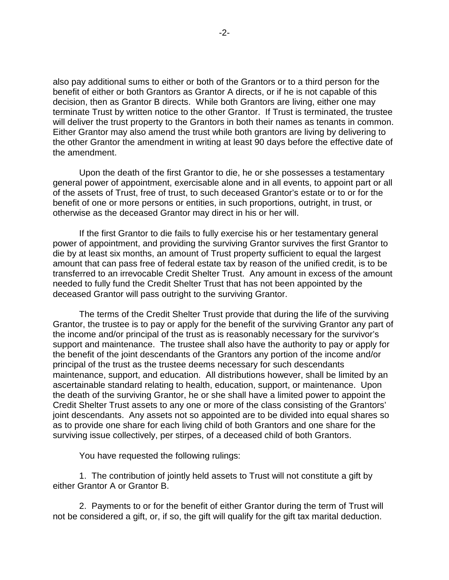also pay additional sums to either or both of the Grantors or to a third person for the benefit of either or both Grantors as Grantor A directs, or if he is not capable of this decision, then as Grantor B directs. While both Grantors are living, either one may terminate Trust by written notice to the other Grantor. If Trust is terminated, the trustee will deliver the trust property to the Grantors in both their names as tenants in common. Either Grantor may also amend the trust while both grantors are living by delivering to the other Grantor the amendment in writing at least 90 days before the effective date of the amendment.

Upon the death of the first Grantor to die, he or she possesses a testamentary general power of appointment, exercisable alone and in all events, to appoint part or all of the assets of Trust, free of trust, to such deceased Grantor's estate or to or for the benefit of one or more persons or entities, in such proportions, outright, in trust, or otherwise as the deceased Grantor may direct in his or her will.

If the first Grantor to die fails to fully exercise his or her testamentary general power of appointment, and providing the surviving Grantor survives the first Grantor to die by at least six months, an amount of Trust property sufficient to equal the largest amount that can pass free of federal estate tax by reason of the unified credit, is to be transferred to an irrevocable Credit Shelter Trust. Any amount in excess of the amount needed to fully fund the Credit Shelter Trust that has not been appointed by the deceased Grantor will pass outright to the surviving Grantor.

The terms of the Credit Shelter Trust provide that during the life of the surviving Grantor, the trustee is to pay or apply for the benefit of the surviving Grantor any part of the income and/or principal of the trust as is reasonably necessary for the survivor's support and maintenance. The trustee shall also have the authority to pay or apply for the benefit of the joint descendants of the Grantors any portion of the income and/or principal of the trust as the trustee deems necessary for such descendants maintenance, support, and education. All distributions however, shall be limited by an ascertainable standard relating to health, education, support, or maintenance. Upon the death of the surviving Grantor, he or she shall have a limited power to appoint the Credit Shelter Trust assets to any one or more of the class consisting of the Grantors' joint descendants. Any assets not so appointed are to be divided into equal shares so as to provide one share for each living child of both Grantors and one share for the surviving issue collectively, per stirpes, of a deceased child of both Grantors.

You have requested the following rulings:

1. The contribution of jointly held assets to Trust will not constitute a gift by either Grantor A or Grantor B.

2. Payments to or for the benefit of either Grantor during the term of Trust will not be considered a gift, or, if so, the gift will qualify for the gift tax marital deduction.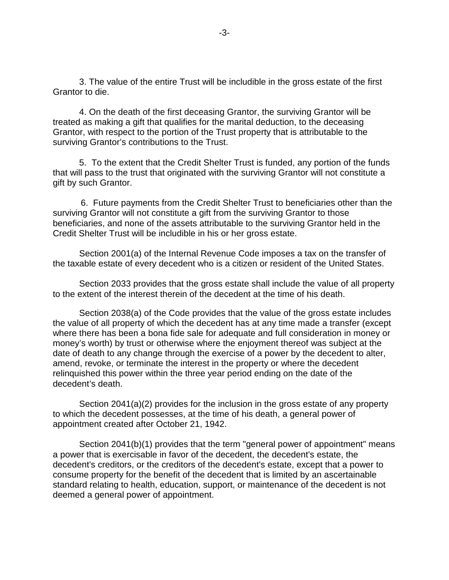3. The value of the entire Trust will be includible in the gross estate of the first Grantor to die.

4. On the death of the first deceasing Grantor, the surviving Grantor will be treated as making a gift that qualifies for the marital deduction, to the deceasing Grantor, with respect to the portion of the Trust property that is attributable to the surviving Grantor's contributions to the Trust.

5. To the extent that the Credit Shelter Trust is funded, any portion of the funds that will pass to the trust that originated with the surviving Grantor will not constitute a gift by such Grantor.

 6. Future payments from the Credit Shelter Trust to beneficiaries other than the surviving Grantor will not constitute a gift from the surviving Grantor to those beneficiaries, and none of the assets attributable to the surviving Grantor held in the Credit Shelter Trust will be includible in his or her gross estate.

Section 2001(a) of the Internal Revenue Code imposes a tax on the transfer of the taxable estate of every decedent who is a citizen or resident of the United States.

Section 2033 provides that the gross estate shall include the value of all property to the extent of the interest therein of the decedent at the time of his death.

Section 2038(a) of the Code provides that the value of the gross estate includes the value of all property of which the decedent has at any time made a transfer (except where there has been a bona fide sale for adequate and full consideration in money or money's worth) by trust or otherwise where the enjoyment thereof was subject at the date of death to any change through the exercise of a power by the decedent to alter, amend, revoke, or terminate the interest in the property or where the decedent relinquished this power within the three year period ending on the date of the decedent's death.

Section 2041(a)(2) provides for the inclusion in the gross estate of any property to which the decedent possesses, at the time of his death, a general power of appointment created after October 21, 1942.

Section 2041(b)(1) provides that the term "general power of appointment" means a power that is exercisable in favor of the decedent, the decedent's estate, the decedent's creditors, or the creditors of the decedent's estate, except that a power to consume property for the benefit of the decedent that is limited by an ascertainable standard relating to health, education, support, or maintenance of the decedent is not deemed a general power of appointment.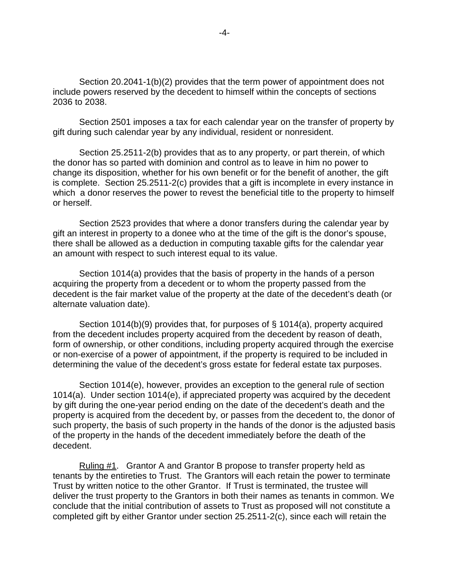Section 20.2041-1(b)(2) provides that the term power of appointment does not include powers reserved by the decedent to himself within the concepts of sections 2036 to 2038.

Section 2501 imposes a tax for each calendar year on the transfer of property by gift during such calendar year by any individual, resident or nonresident.

Section 25.2511-2(b) provides that as to any property, or part therein, of which the donor has so parted with dominion and control as to leave in him no power to change its disposition, whether for his own benefit or for the benefit of another, the gift is complete. Section 25.2511-2(c) provides that a gift is incomplete in every instance in which a donor reserves the power to revest the beneficial title to the property to himself or herself.

Section 2523 provides that where a donor transfers during the calendar year by gift an interest in property to a donee who at the time of the gift is the donor's spouse, there shall be allowed as a deduction in computing taxable gifts for the calendar year an amount with respect to such interest equal to its value.

Section 1014(a) provides that the basis of property in the hands of a person acquiring the property from a decedent or to whom the property passed from the decedent is the fair market value of the property at the date of the decedent's death (or alternate valuation date).

Section 1014(b)(9) provides that, for purposes of § 1014(a), property acquired from the decedent includes property acquired from the decedent by reason of death, form of ownership, or other conditions, including property acquired through the exercise or non-exercise of a power of appointment, if the property is required to be included in determining the value of the decedent's gross estate for federal estate tax purposes.

Section 1014(e), however, provides an exception to the general rule of section 1014(a). Under section 1014(e), if appreciated property was acquired by the decedent by gift during the one-year period ending on the date of the decedent's death and the property is acquired from the decedent by, or passes from the decedent to, the donor of such property, the basis of such property in the hands of the donor is the adjusted basis of the property in the hands of the decedent immediately before the death of the decedent.

Ruling #1. Grantor A and Grantor B propose to transfer property held as tenants by the entireties to Trust. The Grantors will each retain the power to terminate Trust by written notice to the other Grantor. If Trust is terminated, the trustee will deliver the trust property to the Grantors in both their names as tenants in common. We conclude that the initial contribution of assets to Trust as proposed will not constitute a completed gift by either Grantor under section 25.2511-2(c), since each will retain the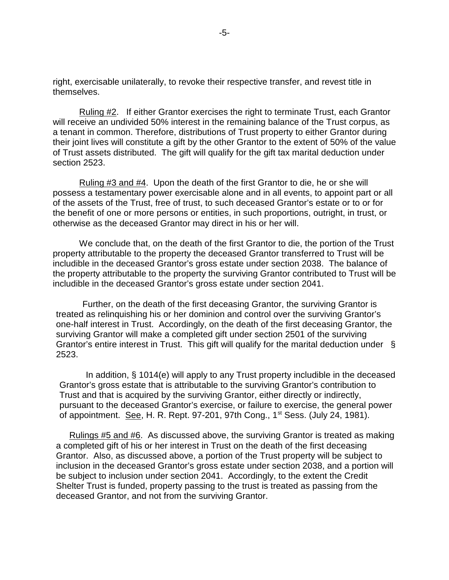right, exercisable unilaterally, to revoke their respective transfer, and revest title in themselves.

Ruling #2. If either Grantor exercises the right to terminate Trust, each Grantor will receive an undivided 50% interest in the remaining balance of the Trust corpus, as a tenant in common. Therefore, distributions of Trust property to either Grantor during their joint lives will constitute a gift by the other Grantor to the extent of 50% of the value of Trust assets distributed. The gift will qualify for the gift tax marital deduction under section 2523.

Ruling #3 and #4. Upon the death of the first Grantor to die, he or she will possess a testamentary power exercisable alone and in all events, to appoint part or all of the assets of the Trust, free of trust, to such deceased Grantor's estate or to or for the benefit of one or more persons or entities, in such proportions, outright, in trust, or otherwise as the deceased Grantor may direct in his or her will.

We conclude that, on the death of the first Grantor to die, the portion of the Trust property attributable to the property the deceased Grantor transferred to Trust will be includible in the deceased Grantor's gross estate under section 2038. The balance of the property attributable to the property the surviving Grantor contributed to Trust will be includible in the deceased Grantor's gross estate under section 2041.

Further, on the death of the first deceasing Grantor, the surviving Grantor is treated as relinquishing his or her dominion and control over the surviving Grantor's one-half interest in Trust. Accordingly, on the death of the first deceasing Grantor, the surviving Grantor will make a completed gift under section 2501 of the surviving Grantor's entire interest in Trust. This gift will qualify for the marital deduction under § 2523.

In addition, § 1014(e) will apply to any Trust property includible in the deceased Grantor's gross estate that is attributable to the surviving Grantor's contribution to Trust and that is acquired by the surviving Grantor, either directly or indirectly, pursuant to the deceased Grantor's exercise, or failure to exercise, the general power of appointment. See, H. R. Rept. 97-201, 97th Cong., 1<sup>st</sup> Sess. (July 24, 1981).

Rulings #5 and #6. As discussed above, the surviving Grantor is treated as making a completed gift of his or her interest in Trust on the death of the first deceasing Grantor. Also, as discussed above, a portion of the Trust property will be subject to inclusion in the deceased Grantor's gross estate under section 2038, and a portion will be subject to inclusion under section 2041. Accordingly, to the extent the Credit Shelter Trust is funded, property passing to the trust is treated as passing from the deceased Grantor, and not from the surviving Grantor.